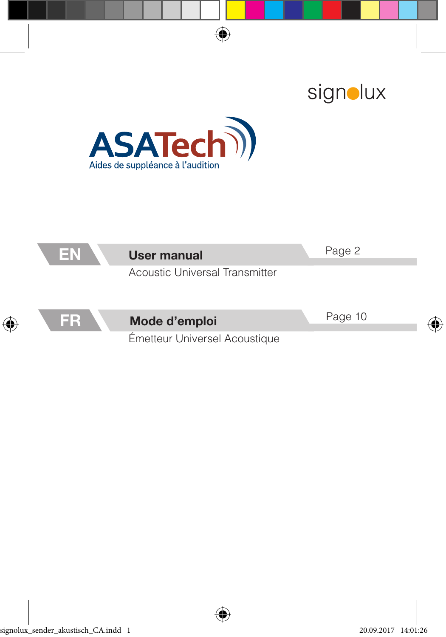



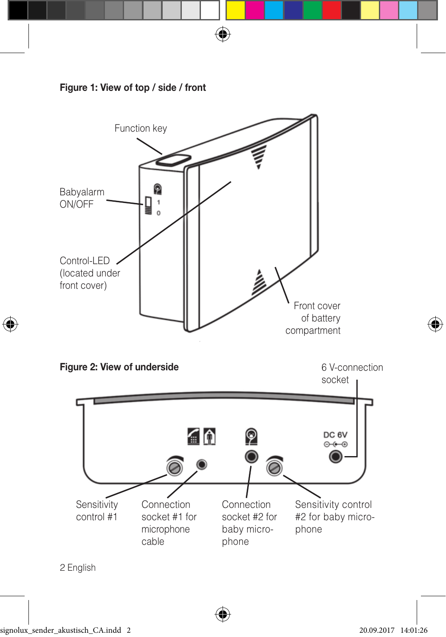## Figure 1: View of top / side / front

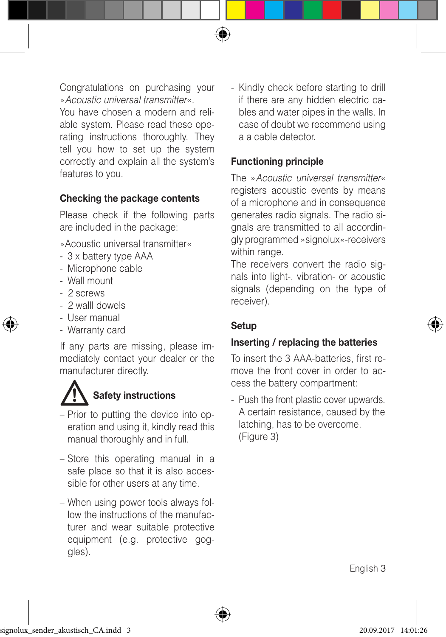Congratulations on purchasing your »*Acoustic universal transmitter*«.

You have chosen a modern and reliable system. Please read these operating instructions thoroughly. They tell you how to set up the system correctly and explain all the system's features to you.

## Checking the package contents

Please check if the following parts are included in the package:

- »Acoustic universal transmitter«
- 3 x battery type AAA
- Microphone cable
- Wall mount
- 2 screws
- 2 walll dowels
- User manual
- Warranty card

If any parts are missing, please immediately contact your dealer or the manufacturer directly.



# Safety instructions

- Prior to putting the device into operation and using it, kindly read this manual thoroughly and in full.
- Store this operating manual in a safe place so that it is also accessible for other users at any time.
- When using power tools always follow the instructions of the manufacturer and wear suitable protective equipment (e.g. protective goggles).

- Kindly check before starting to drill if there are any hidden electric cables and water pipes in the walls. In case of doubt we recommend using a a cable detector.

# Functioning principle

The »*Acoustic universal transmitter*« registers acoustic events by means of a microphone and in consequence generates radio signals. The radio signals are transmitted to all accordingly programmed »signolux«-receivers within range.

The receivers convert the radio signals into light-, vibration- or acoustic signals (depending on the type of receiver).

# Setup

# Inserting / replacing the batteries

To insert the 3 AAA-batteries, first remove the front cover in order to access the battery compartment:

- Push the front plastic cover upwards. A certain resistance, caused by the latching, has to be overcome. (Figure 3)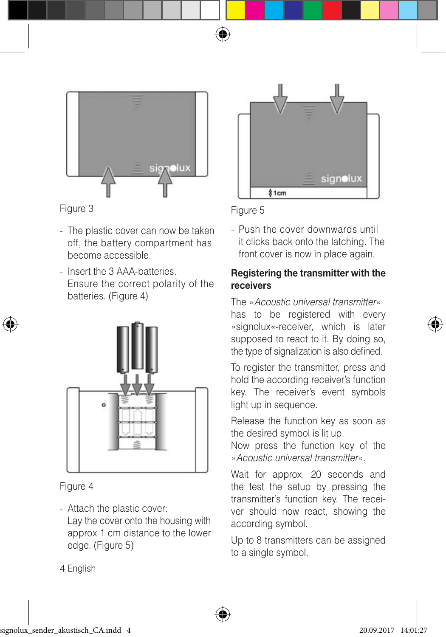

# Figure 3

- The plastic cover can now be taken off, the battery compartment has become accessible.
- Insert the 3 AAA-batteries. Ensure the correct polarity of the batteries. (Figure 4)



# Figure 4

- Attach the plastic cover: Lay the cover onto the housing with approx 1 cm distance to the lower edge. (Figure 5)



# Figure 5

- Push the cover downwards until it clicks back onto the latching. The front cover is now in place again.

# Registering the transmitter with the receivers

The »*Acoustic universal transmitter*« has to be registered with every »signolux«-receiver, which is later supposed to react to it. By doing so, the type of signalization is also defined.

To register the transmitter, press and hold the according receiver's function key. The receiver's event symbols light up in sequence.

Release the function key as soon as the desired symbol is lit up.

Now press the function key of the »*Acoustic universal transmitter*«.

Wait for approx. 20 seconds and the test the setup by pressing the transmitter's function key. The receiver should now react, showing the according symbol.

Up to 8 transmitters can be assigned to a single symbol.

4 English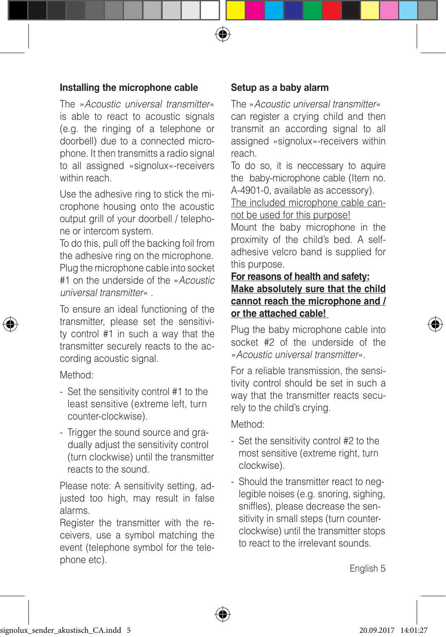# Installing the microphone cable

The »*Acoustic universal transmitter*« is able to react to acoustic signals (e.g. the ringing of a telephone or doorbell) due to a connected microphone. It then transmitts a radio signal to all assigned »signolux«-receivers within reach.

Use the adhesive ring to stick the microphone housing onto the acoustic output grill of your doorbell / telephone or intercom system.

To do this, pull off the backing foil from the adhesive ring on the microphone. Plug the microphone cable into socket #1 on the underside of the »*Acoustic universal transmitter*« .

To ensure an ideal functioning of the transmitter, please set the sensitivity control #1 in such a way that the transmitter securely reacts to the according acoustic signal.

Method:

- Set the sensitivity control #1 to the least sensitive (extreme left, turn counter-clockwise).
- Trigger the sound source and gradually adjust the sensitivity control (turn clockwise) until the transmitter reacts to the sound.

Please note: A sensitivity setting, adjusted too high, may result in false alarms.

Register the transmitter with the receivers, use a symbol matching the event (telephone symbol for the telephone etc).

# Setup as a baby alarm

The »*Acoustic universal transmitter*« can register a crying child and then transmit an according signal to all assigned »signolux«-receivers within reach.

To do so, it is neccessary to aquire the baby-microphone cable (Item no. A-4901-0, available as accessory).

The included microphone cable cannot be used for this purpose!

Mount the baby microphone in the proximity of the child's bed. A selfadhesive velcro band is supplied for this purpose.

# **For reasons of health and safety:**

**Make absolutely sure that the child cannot reach the microphone and / or the attached cable!** 

Plug the baby microphone cable into socket #2 of the underside of the »*Acoustic universal transmitter*«.

For a reliable transmission, the sensitivity control should be set in such a way that the transmitter reacts securely to the child's crying.

Method:

- Set the sensitivity control #2 to the most sensitive (extreme right, turn clockwise).
- Should the transmitter react to neglegible noises (e.g. snoring, sighing, sniffles), please decrease the sensitivity in small steps (turn counterclockwise) until the transmitter stops to react to the irrelevant sounds.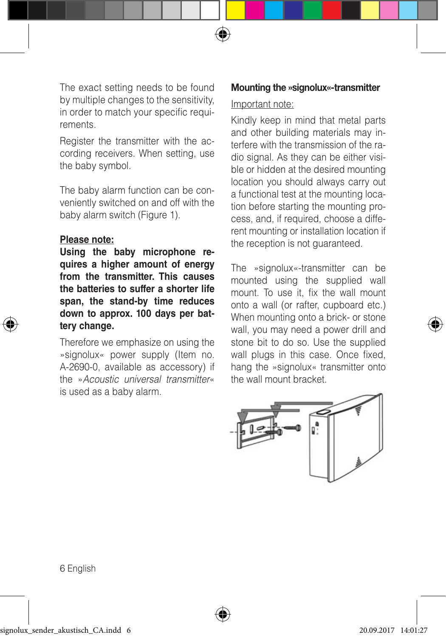The exact setting needs to be found by multiple changes to the sensitivity, in order to match your specific requirements.

Register the transmitter with the according receivers. When setting, use the baby symbol.

The baby alarm function can be conveniently switched on and off with the baby alarm switch (Figure 1).

#### **Please note:**

**Using the baby microphone requires a higher amount of energy from the transmitter. This causes the batteries to suffer a shorter life span, the stand-by time reduces down to approx. 100 days per battery change.** 

Therefore we emphasize on using the »signolux« power supply (Item no. A-2690-0, available as accessory) if the »*Acoustic universal transmitter*« is used as a baby alarm.

#### Mounting the »signolux«-transmitter

#### Important note:

Kindly keep in mind that metal parts and other building materials may interfere with the transmission of the radio signal. As they can be either visible or hidden at the desired mounting location you should always carry out a functional test at the mounting location before starting the mounting process, and, if required, choose a different mounting or installation location if the reception is not quaranteed.

The »signolux«-transmitter can be mounted using the supplied wall mount. To use it, fix the wall mount onto a wall (or rafter, cupboard etc.) When mounting onto a brick- or stone wall, you may need a power drill and stone bit to do so. Use the supplied wall plugs in this case. Once fixed, hang the »signolux« transmitter onto the wall mount bracket.

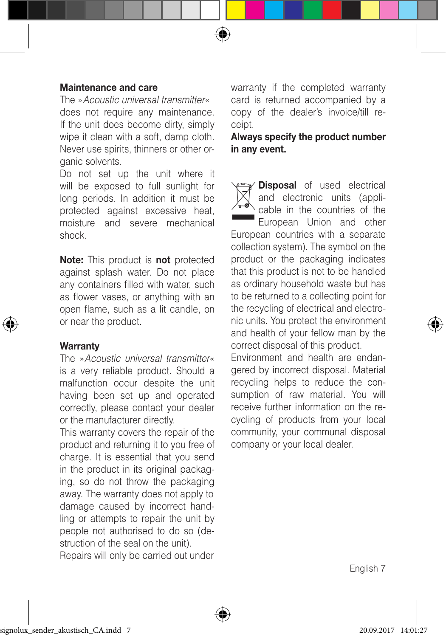#### Maintenance and care

The »*Acoustic universal transmitter*« does not require any maintenance. If the unit does become dirty, simply wipe it clean with a soft, damp cloth. Never use spirits, thinners or other organic solvents.

Do not set up the unit where it will be exposed to full sunlight for long periods. In addition it must be protected against excessive heat, moisture and severe mechanical shock.

Note: This product is not protected against splash water. Do not place any containers filled with water, such as flower vases, or anything with an open flame, such as a lit candle, on or near the product.

#### **Warranty**

The »*Acoustic universal transmitter*« is a very reliable product. Should a malfunction occur despite the unit having been set up and operated correctly, please contact your dealer or the manufacturer directly.

This warranty covers the repair of the product and returning it to you free of charge. It is essential that you send in the product in its original packaging, so do not throw the packaging away. The warranty does not apply to damage caused by incorrect handling or attempts to repair the unit by people not authorised to do so (destruction of the seal on the unit).

Repairs will only be carried out under

warranty if the completed warranty card is returned accompanied by a copy of the dealer's invoice/till receipt.

### Always specify the product number in any event.

 $\angle$  **Disposal** of used electrical and electronic units (appli cable in the countries of the European Union and other European countries with a separate collection system). The symbol on the product or the packaging indicates that this product is not to be handled as ordinary household waste but has to be returned to a collecting point for the recycling of electrical and electronic units. You protect the environment and health of your fellow man by the correct disposal of this product.

Environment and health are endangered by incorrect disposal. Material recycling helps to reduce the consumption of raw material. You will receive further information on the recycling of products from your local community, your communal disposal company or your local dealer.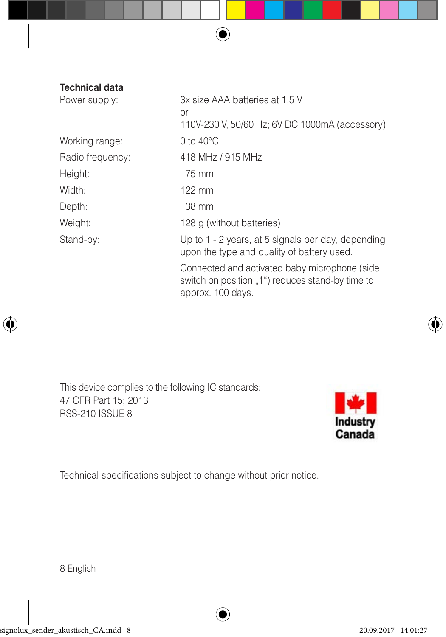| <b>Technical data</b> |                                                                                                                        |
|-----------------------|------------------------------------------------------------------------------------------------------------------------|
| Power supply:         | 3x size AAA batteries at 1.5 V<br>or                                                                                   |
|                       | 110V-230 V, 50/60 Hz; 6V DC 1000mA (accessory)                                                                         |
| Working range:        | 0 to $40^{\circ}$ C                                                                                                    |
| Radio frequency:      | 418 MHz / 915 MHz                                                                                                      |
| Height:               | 75 mm                                                                                                                  |
| Width:                | 122 mm                                                                                                                 |
| Depth:                | 38 mm                                                                                                                  |
| Weight:               | 128 g (without batteries)                                                                                              |
| Stand-by:             | Up to 1 - 2 years, at 5 signals per day, depending<br>upon the type and quality of battery used.                       |
|                       | Connected and activated baby microphone (side<br>switch on position "1") reduces stand-by time to<br>approx. 100 days. |

This device complies to the following IC standards: 47 CFR Part 15; 2013 RSS-210 ISSUE 8



Technical specifications subject to change without prior notice.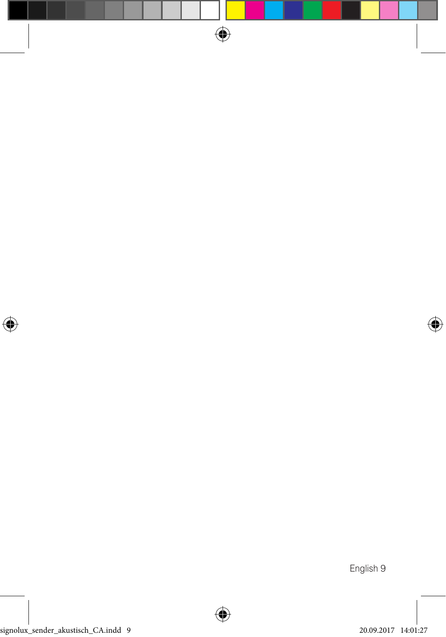English 9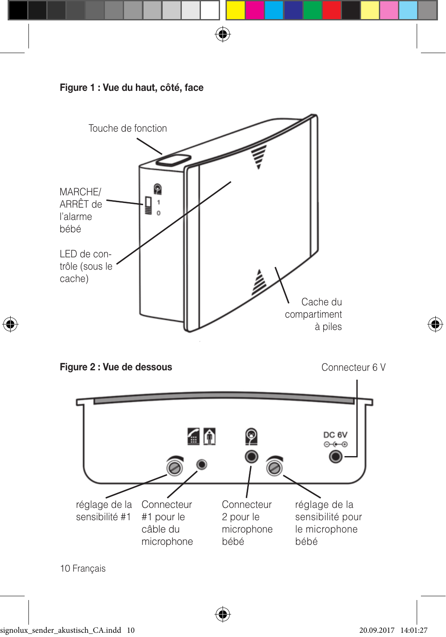# Figure 1 : Vue du haut, côté, face





Connecteur 6 V

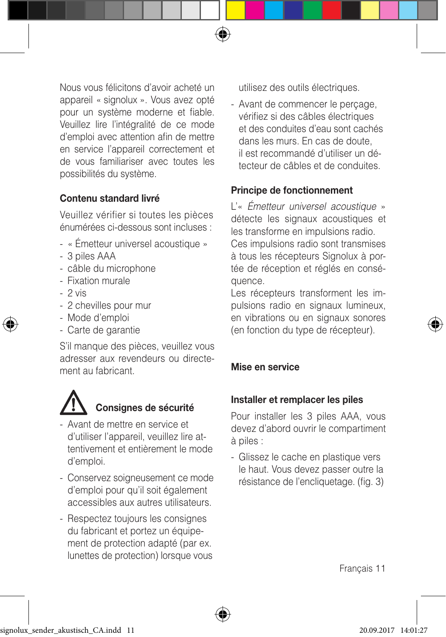Nous vous félicitons d'avoir acheté un appareil « signolux ». Vous avez opté pour un système moderne et fiable. Veuillez lire l'intégralité de ce mode d'emploi avec attention afin de mettre en service l'appareil correctement et de vous familiariser avec toutes les possibilités du système.

### Contenu standard livré

Veuillez vérifier si toutes les pièces énumérées ci-dessous sont incluses :

- « Émetteur universel acoustique »
- 3 piles AAA
- câble du microphone
- Fixation murale
- 2 vis
- 2 chevilles pour mur
- Mode d'emploi
- Carte de garantie

S'il manque des pièces, veuillez vous adresser aux revendeurs ou directement au fabricant.



# Consignes de sécurité

- Avant de mettre en service et d'utiliser l'appareil, veuillez lire attentivement et entièrement le mode d'emploi.
- Conservez soigneusement ce mode d'emploi pour qu'il soit également accessibles aux autres utilisateurs.
- Respectez toujours les consignes du fabricant et portez un équipement de protection adapté (par ex. lunettes de protection) lorsque vous

utilisez des outils électriques.

- Avant de commencer le perçage, vérifiez si des câbles électriques et des conduites d'eau sont cachés dans les murs. En cas de doute, il est recommandé d'utiliser un détecteur de câbles et de conduites.

# Principe de fonctionnement

L'« *Émetteur universel acoustique* » détecte les signaux acoustiques et les transforme en impulsions radio. Ces impulsions radio sont transmises à tous les récepteurs Signolux à portée de réception et réglés en conséquence.

Les récepteurs transforment les impulsions radio en signaux lumineux, en vibrations ou en signaux sonores (en fonction du type de récepteur).

### Mise en service

# Installer et remplacer les piles

Pour installer les 3 piles AAA, vous devez d'abord ouvrir le compartiment à piles :

- Glissez le cache en plastique vers le haut. Vous devez passer outre la résistance de l'encliquetage. (fig. 3)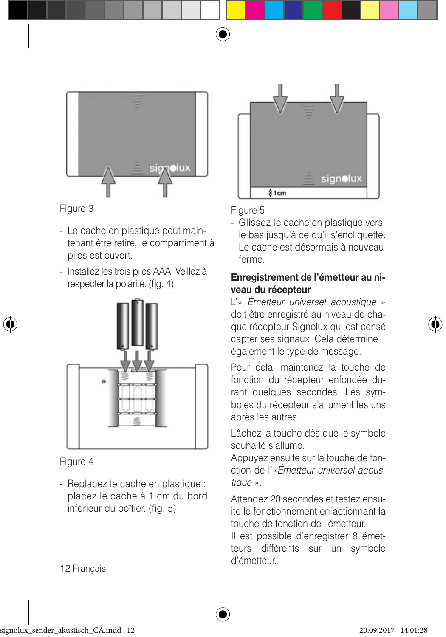

# Figure 3

- Le cache en plastique peut maintenant être retiré, le compartiment à piles est ouvert.
- Installez les trois piles AAA. Veillez à respecter la polarité. (fig. 4)



# Figure 4

- Replacez le cache en plastique : placez le cache à 1 cm du bord inférieur du boîtier. (fig. 5)



# Figure 5

- Glissez le cache en plastique vers le bas jusqu'à ce qu'il s'encliquette. Le cache est désormais à nouveau fermé.

# Enregistrement de l'émetteur au niveau du récepteur

L'« *Émetteur universel acoustique* » doit être enregistré au niveau de chaque récepteur Signolux qui est censé capter ses signaux. Cela détermine également le type de message.

Pour cela, maintenez la touche de fonction du récepteur enfoncée durant quelques secondes. Les symboles du récepteur s'allument les uns après les autres.

Lâchez la touche dès que le symbole souhaité s'allume.

Appuyez ensuite sur la touche de fonction de l'«*Émetteur universel acoustique* ».

Attendez 20 secondes et testez ensuite le fonctionnement en actionnant la touche de fonction de l'émetteur.

Il est possible d'enregistrer 8 émetteurs différents sur un symbole d'émetteur.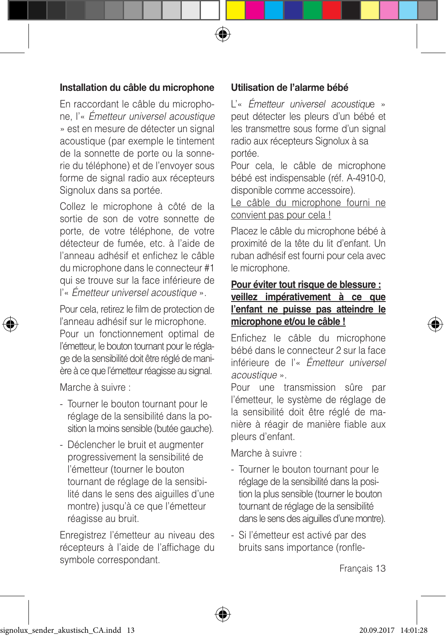## Installation du câble du microphone

En raccordant le câble du microphone, l'« *Émetteur universel acoustique*  » est en mesure de détecter un signal acoustique (par exemple le tintement de la sonnette de porte ou la sonnerie du téléphone) et de l'envoyer sous forme de signal radio aux récepteurs Signolux dans sa portée.

Collez le microphone à côté de la sortie de son de votre sonnette de porte, de votre téléphone, de votre détecteur de fumée, etc. à l'aide de l'anneau adhésif et enfichez le câble du microphone dans le connecteur #1 qui se trouve sur la face inférieure de l'« *Émetteur universel acoustique* ».

Pour cela, retirez le film de protection de l'anneau adhésif sur le microphone. Pour un fonctionnement optimal de l'émetteur, le bouton tournant pour le réglage de la sensibilité doit être réglé de manière à ce que l'émetteur réagisse au signal.

Marche à suivre :

- Tourner le bouton tournant pour le réglage de la sensibilité dans la position la moins sensible (butée gauche).
- Déclencher le bruit et augmenter progressivement la sensibilité de l'émetteur (tourner le bouton tournant de réglage de la sensibilité dans le sens des aiguilles d'une montre) jusqu'à ce que l'émetteur réagisse au bruit.

Enregistrez l'émetteur au niveau des récepteurs à l'aide de l'affichage du symbole correspondant.

### Utilisation de l'alarme bébé

L'« *Émetteur universel acoustiqu*e » peut détecter les pleurs d'un bébé et les transmettre sous forme d'un signal radio aux récepteurs Signolux à sa portée.

Pour cela, le câble de microphone bébé est indispensable (réf. A-4910-0, disponible comme accessoire).

Le câble du microphone fourni ne convient pas pour cela !

Placez le câble du microphone bébé à proximité de la tête du lit d'enfant. Un ruban adhésif est fourni pour cela avec le microphone.

### **Pour éviter tout risque de blessure : veillez impérativement à ce que l'enfant ne puisse pas atteindre le microphone et/ou le câble !**

Enfichez le câble du microphone bébé dans le connecteur 2 sur la face inférieure de l'« *Émetteur universel acoustique* ».

Pour une transmission sûre par l'émetteur, le système de réglage de la sensibilité doit être réglé de manière à réagir de manière fiable aux pleurs d'enfant.

Marche à suivre :

- Tourner le bouton tournant pour le réglage de la sensibilité dans la position la plus sensible (tourner le bouton tournant de réglage de la sensibilité dans le sens des aiguilles d'une montre).
- Si l'émetteur est activé par des bruits sans importance (ronfle-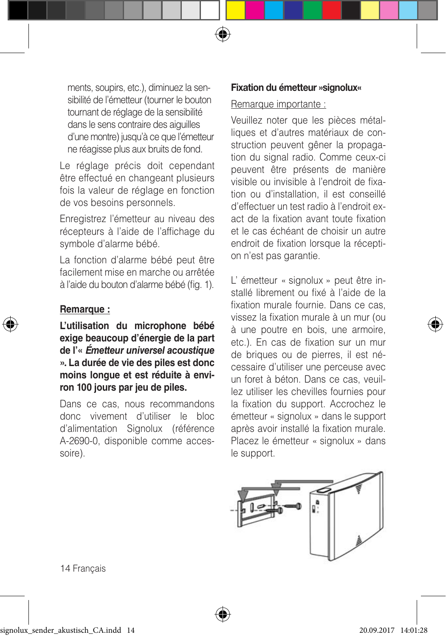ments, soupirs, etc.), diminuez la sensibilité de l'émetteur (tourner le bouton tournant de réglage de la sensibilité dans le sens contraire des aiguilles d'une montre) jusqu'à ce que l'émetteur ne réagisse plus aux bruits de fond.

Le réglage précis doit cependant être effectué en changeant plusieurs fois la valeur de réglage en fonction de vos besoins personnels.

Enregistrez l'émetteur au niveau des récepteurs à l'aide de l'affichage du symbole d'alarme bébé.

La fonction d'alarme bébé peut être facilement mise en marche ou arrêtée à l'aide du bouton d'alarme bébé (fig. 1).

## **Remarque :**

**L'utilisation du microphone bébé exige beaucoup d'énergie de la part de l'«** *Émetteur universel acoustique* **». La durée de vie des piles est donc moins longue et est réduite à environ 100 jours par jeu de piles.** 

Dans ce cas, nous recommandons donc vivement d'utiliser le bloc d'alimentation Signolux (référence A-2690-0, disponible comme accessoire).

### Fixation du émetteur »signolux«

Remarque importante :

Veuillez noter que les pièces métalliques et d'autres matériaux de construction peuvent gêner la propagation du signal radio. Comme ceux-ci peuvent être présents de manière visible ou invisible à l'endroit de fixation ou d'installation, il est conseillé d'effectuer un test radio à l'endroit exact de la fixation avant toute fixation et le cas échéant de choisir un autre endroit de fixation lorsque la réception n'est pas garantie.

L' émetteur « signolux » peut être installé librement ou fixé à l'aide de la fixation murale fournie. Dans ce cas vissez la fixation murale à un mur (ou à une poutre en bois, une armoire, etc.). En cas de fixation sur un mur de briques ou de pierres, il est nécessaire d'utiliser une perceuse avec un foret à béton. Dans ce cas, veuillez utiliser les chevilles fournies pour la fixation du support. Accrochez le émetteur « signolux » dans le support après avoir installé la fixation murale. Placez le émetteur « signolux » dans le support.

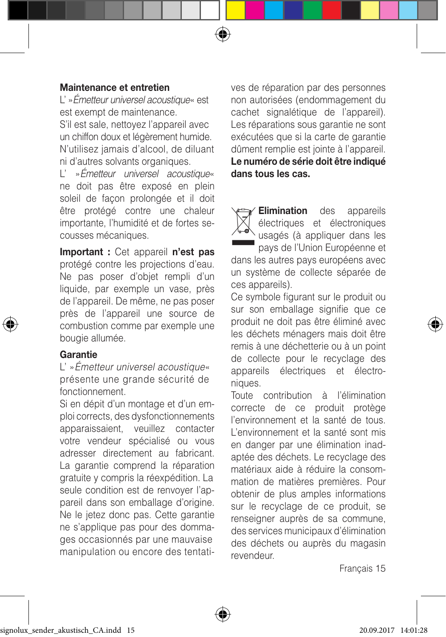#### Maintenance et entretien

L' »*Émetteur universel acoustique*« est est exempt de maintenance.

S'il est sale, nettoyez l'appareil avec un chiffon doux et légèrement humide. N'utilisez jamais d'alcool, de diluant ni d'autres solvants organiques.

L' »*Émetteur universel acoustique*« ne doit pas être exposé en plein soleil de façon prolongée et il doit être protégé contre une chaleur importante, l'humidité et de fortes secousses mécaniques.

Important : Cet appareil n'est pas protégé contre les projections d'eau. Ne pas poser d'objet rempli d'un liquide, par exemple un vase, près de l'appareil. De même, ne pas poser près de l'appareil une source de combustion comme par exemple une bougie allumée.

#### Garantie

L' »*Émetteur universel acoustique*« présente une grande sécurité de fonctionnement.

Si en dépit d'un montage et d'un emploi corrects, des dysfonctionnements apparaissaient, veuillez contacter votre vendeur spécialisé ou vous adresser directement au fabricant. La garantie comprend la réparation gratuite y compris la réexpédition. La seule condition est de renvoyer l'appareil dans son emballage d'origine. Ne le jetez donc pas. Cette garantie ne s'applique pas pour des dommages occasionnés par une mauvaise manipulation ou encore des tentatives de réparation par des personnes non autorisées (endommagement du cachet signalétique de l'appareil). Les réparations sous garantie ne sont exécutées que si la carte de garantie dûment remplie est jointe à l'appareil.

Le numéro de série doit être indiqué dans tous les cas.

**Elimination** des appareils électriques et électroniques usagés (à appliquer dans les pays de l'Union Européenne et

dans les autres pays européens avec un système de collecte séparée de ces appareils).

Ce symbole figurant sur le produit ou sur son emballage signifie que ce produit ne doit pas être éliminé avec les déchets ménagers mais doit être remis à une déchetterie ou à un point de collecte pour le recyclage des appareils électriques et électroniques.

Toute contribution à l'élimination correcte de ce produit protège l'environnement et la santé de tous. L'environnement et la santé sont mis en danger par une élimination inadaptée des déchets. Le recyclage des matériaux aide à réduire la consommation de matières premières. Pour obtenir de plus amples informations sur le recyclage de ce produit, se renseigner auprès de sa commune, des services municipaux d'élimination des déchets ou auprès du magasin revendeur.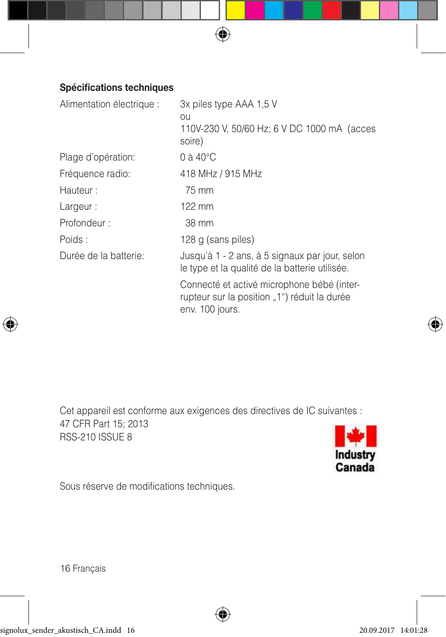# Spécifications techniques

| 3x piles type AAA 1,5 V<br>ou                                                                                 |
|---------------------------------------------------------------------------------------------------------------|
| 110V-230 V, 50/60 Hz; 6 V DC 1000 mA (acces<br>soire)                                                         |
| $0$ à 40 $^{\circ}$ C                                                                                         |
| 418 MHz / 915 MHz                                                                                             |
| 75 mm                                                                                                         |
| 122 mm                                                                                                        |
| 38 mm                                                                                                         |
| 128 g (sans piles)                                                                                            |
| Jusqu'à 1 - 2 ans, à 5 signaux par jour, selon<br>le type et la qualité de la batterie utilisée.              |
| Connecté et activé microphone bébé (inter-<br>rupteur sur la position "1") réduit la durée<br>env. 100 jours. |
|                                                                                                               |

Cet appareil est conforme aux exigences des directives de IC suivantes : 47 CFR Part 15; 2013 RSS-210 ISSUE 8



Sous réserve de modifications techniques.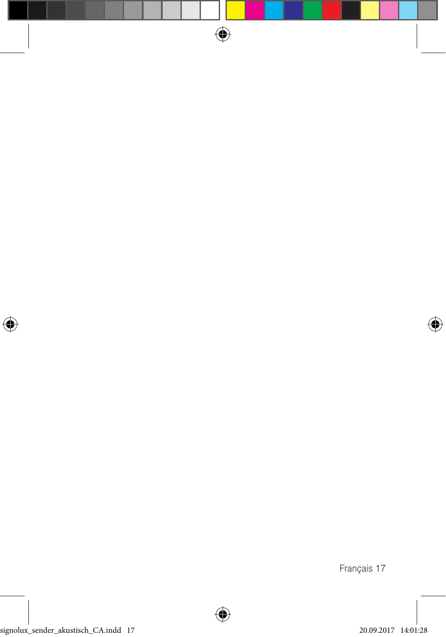Français 17